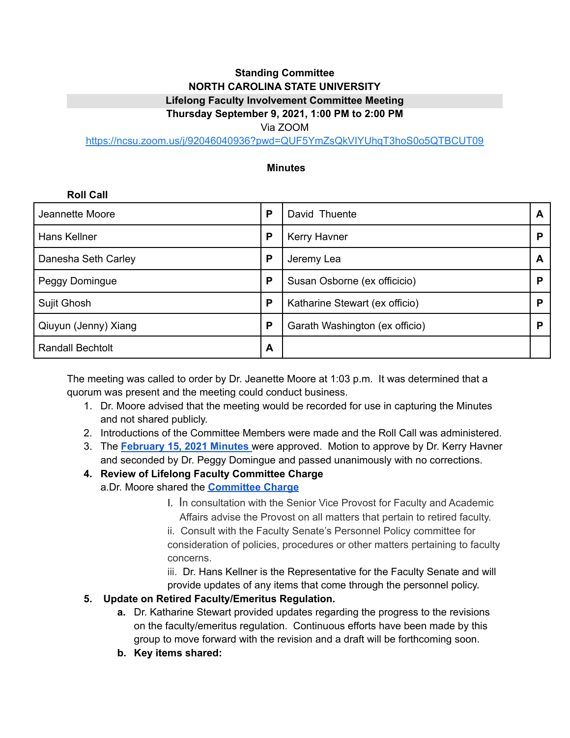#### **Standing Committee NORTH CAROLINA STATE UNIVERSITY Lifelong Faculty Involvement Committee Meeting Thursday September 9, 2021, 1:00 PM to 2:00 PM**

## Via ZOOM

<https://ncsu.zoom.us/j/92046040936?pwd=QUF5YmZsQkVIYUhqT3hoS0o5QTBCUT09>

#### **Minutes**

# **Roll Call** Jeannette Moore **P** David Thuente **A** Hans Kellner **P P** Kerry Havner **P P P** Danesha Seth Carley **P P** Jeremy Lea **A** Peggy Domingue **P P** Susan Osborne (ex officicio) **P** Sujit Ghosh **P** Katharine Stewart (ex officio) **P** Qiuyun (Jenny) Xiang **P** Garath Washington (ex officio) **P** Randall Bechtolt **A**

The meeting was called to order by Dr. Jeanette Moore at 1:03 p.m. It was determined that a quorum was present and the meeting could conduct business.

- 1. Dr. Moore advised that the meeting would be recorded for use in capturing the Minutes and not shared publicly.
- 2. Introductions of the Committee Members were made and the Roll Call was administered.
- 3. The **[February](https://bit.ly/3BR50gQ) 15, 2021 Minutes** were approved. Motion to approve by Dr. Kerry Havner and seconded by Dr. Peggy Domingue and passed unanimously with no corrections.
- **4. Review of Lifelong Faculty Committee Charge** a.Dr. Moore shared the **[Committee](https://bit.ly/3DTugVn) Charge**
	- I. In consultation with the Senior Vice Provost for Faculty and Academic Affairs advise the Provost on all matters that pertain to retired faculty.

ii. Consult with the Faculty Senate's Personnel Policy committee for consideration of policies, procedures or other matters pertaining to faculty concerns.

iii. Dr. Hans Kellner is the Representative for the Faculty Senate and will provide updates of any items that come through the personnel policy.

#### **5. Update on Retired Faculty/Emeritus Regulation.**

- **a.** Dr. Katharine Stewart provided updates regarding the progress to the revisions on the faculty/emeritus regulation. Continuous efforts have been made by this group to move forward with the revision and a draft will be forthcoming soon.
- **b. Key items shared:**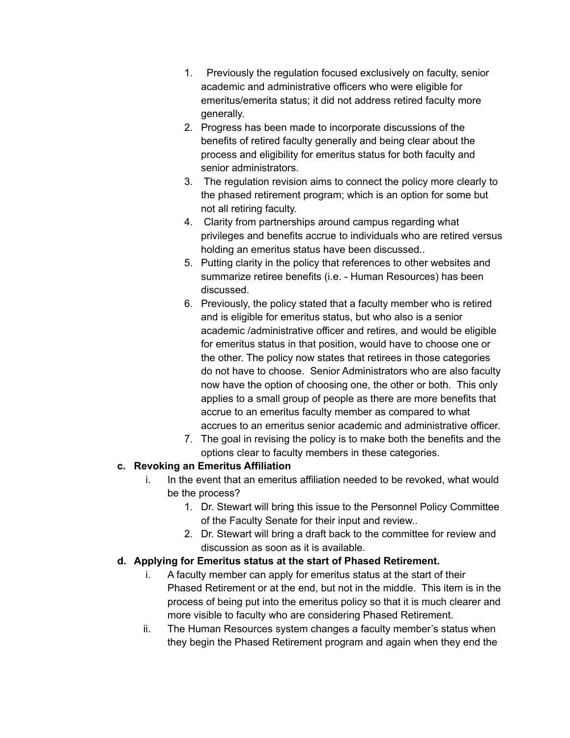- 1. Previously the regulation focused exclusively on faculty, senior academic and administrative officers who were eligible for emeritus/emerita status; it did not address retired faculty more generally.
- 2. Progress has been made to incorporate discussions of the benefits of retired faculty generally and being clear about the process and eligibility for emeritus status for both faculty and senior administrators.
- 3. The regulation revision aims to connect the policy more clearly to the phased retirement program; which is an option for some but not all retiring faculty.
- 4. Clarity from partnerships around campus regarding what privileges and benefits accrue to individuals who are retired versus holding an emeritus status have been discussed..
- 5. Putting clarity in the policy that references to other websites and summarize retiree benefits (i.e. - Human Resources) has been discussed.
- 6. Previously, the policy stated that a faculty member who is retired and is eligible for emeritus status, but who also is a senior academic /administrative officer and retires, and would be eligible for emeritus status in that position, would have to choose one or the other. The policy now states that retirees in those categories do not have to choose. Senior Administrators who are also faculty now have the option of choosing one, the other or both. This only applies to a small group of people as there are more benefits that accrue to an emeritus faculty member as compared to what accrues to an emeritus senior academic and administrative officer.
- 7. The goal in revising the policy is to make both the benefits and the options clear to faculty members in these categories.

## **c. Revoking an Emeritus Affiliation**

- i. In the event that an emeritus affiliation needed to be revoked, what would be the process?
	- 1. Dr. Stewart will bring this issue to the Personnel Policy Committee of the Faculty Senate for their input and review..
	- 2. Dr. Stewart will bring a draft back to the committee for review and discussion as soon as it is available.

## **d. Applying for Emeritus status at the start of Phased Retirement.**

- i. A faculty member can apply for emeritus status at the start of their Phased Retirement or at the end, but not in the middle. This item is in the process of being put into the emeritus policy so that it is much clearer and more visible to faculty who are considering Phased Retirement.
- ii. The Human Resources system changes a faculty member's status when they begin the Phased Retirement program and again when they end the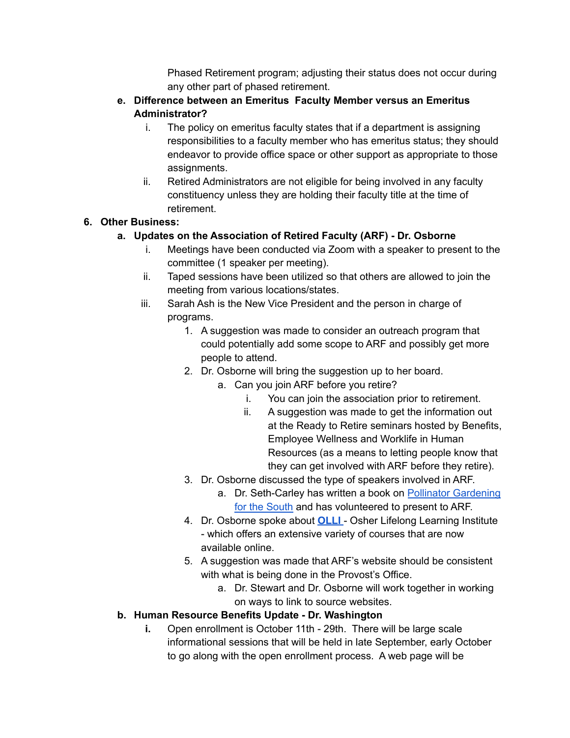Phased Retirement program; adjusting their status does not occur during any other part of phased retirement.

#### **e. Difference between an Emeritus Faculty Member versus an Emeritus Administrator?**

- i. The policy on emeritus faculty states that if a department is assigning responsibilities to a faculty member who has emeritus status; they should endeavor to provide office space or other support as appropriate to those assignments.
- ii. Retired Administrators are not eligible for being involved in any faculty constituency unless they are holding their faculty title at the time of retirement.

## **6. Other Business:**

## **a. Updates on the Association of Retired Faculty (ARF) - Dr. Osborne**

- i. Meetings have been conducted via Zoom with a speaker to present to the committee (1 speaker per meeting).
- ii. Taped sessions have been utilized so that others are allowed to join the meeting from various locations/states.
- iii. Sarah Ash is the New Vice President and the person in charge of programs.
	- 1. A suggestion was made to consider an outreach program that could potentially add some scope to ARF and possibly get more people to attend.
	- 2. Dr. Osborne will bring the suggestion up to her board.
		- a. Can you join ARF before you retire?
			- i. You can join the association prior to retirement.
			- ii. A suggestion was made to get the information out at the Ready to Retire seminars hosted by Benefits, Employee Wellness and Worklife in Human Resources (as a means to letting people know that they can get involved with ARF before they retire).
	- 3. Dr. Osborne discussed the type of speakers involved in ARF.
		- a. Dr. Seth-Carley has written a book on Pollinator [Gardening](https://bit.ly/3nDNhp6) for the [South](https://bit.ly/3nDNhp6) and has volunteered to present to ARF.
	- 4. Dr. Osborne spoke about **[OLLI](https://bit.ly/3zaM8aF)** Osher Lifelong Learning Institute - which offers an extensive variety of courses that are now available online.
	- 5. A suggestion was made that ARF's website should be consistent with what is being done in the Provost's Office.
		- a. Dr. Stewart and Dr. Osborne will work together in working on ways to link to source websites.

## **b. Human Resource Benefits Update - Dr. Washington**

**i.** Open enrollment is October 11th - 29th. There will be large scale informational sessions that will be held in late September, early October to go along with the open enrollment process. A web page will be